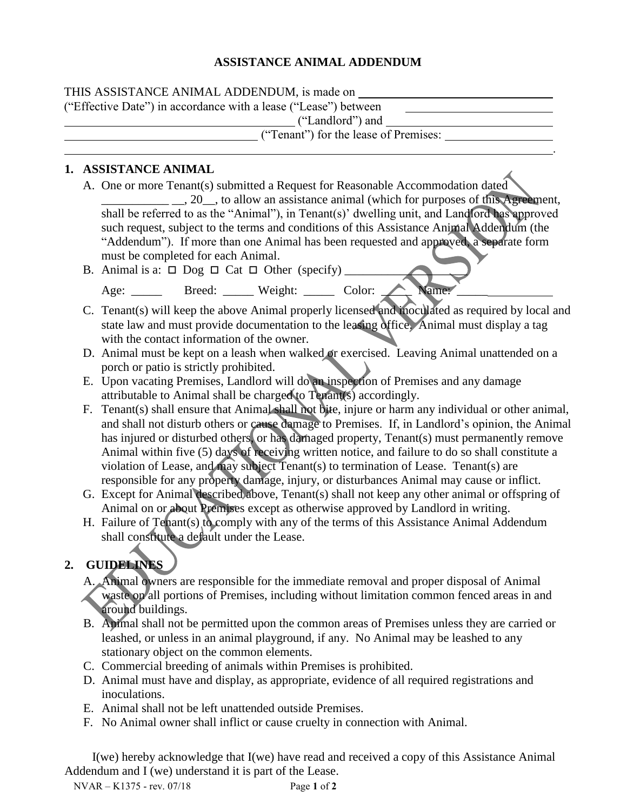## **ASSISTANCE ANIMAL ADDENDUM**

| THIS ASSISTANCE ANIMAL ADDENDUM, is made on                     |
|-----------------------------------------------------------------|
| ("Effective Date") in accordance with a lease ("Lease") between |
| ("Landlord") and                                                |
| ("Tenant") for the lease of Premises:                           |
|                                                                 |

## **1. ASSISTANCE ANIMAL**

- A. One or more Tenant(s) submitted a Request for Reasonable Accommodation dated \_\_\_\_\_\_\_\_\_\_\_ \_\_, 20\_\_, to allow an assistance animal (which for purposes of this Agreement, shall be referred to as the "Animal"), in Tenant(s)' dwelling unit, and Landlord has approved such request, subject to the terms and conditions of this Assistance Animal Addendum (the "Addendum"). If more than one Animal has been requested and approved, a separate form must be completed for each Animal.
- B. Animal is a:  $\Box$  Dog  $\Box$  Cat  $\Box$  Other (specify) Age: Breed: Weight: Color: Name
- C. Tenant(s) will keep the above Animal properly licensed and inoculated as required by local and state law and must provide documentation to the leasing office. Animal must display a tag with the contact information of the owner.
- D. Animal must be kept on a leash when walked or exercised. Leaving Animal unattended on a porch or patio is strictly prohibited.
- E. Upon vacating Premises, Landlord will do an inspection of Premises and any damage attributable to Animal shall be charged to Tenant(s) accordingly.
- F. Tenant(s) shall ensure that Animal shall not bite, injure or harm any individual or other animal, and shall not disturb others or cause damage to Premises. If, in Landlord's opinion, the Animal has injured or disturbed others, or has damaged property, Tenant(s) must permanently remove Animal within five (5) days of receiving written notice, and failure to do so shall constitute a violation of Lease, and may subject Tenant(s) to termination of Lease. Tenant(s) are responsible for any property damage, injury, or disturbances Animal may cause or inflict.
- G. Except for Animal described above, Tenant(s) shall not keep any other animal or offspring of Animal on or about Premises except as otherwise approved by Landlord in writing.
- H. Failure of Tenant(s) to comply with any of the terms of this Assistance Animal Addendum shall constitute a default under the Lease.

## **2. GUIDELINES**

- A. Animal owners are responsible for the immediate removal and proper disposal of Animal waste on all portions of Premises, including without limitation common fenced areas in and around buildings.
- B. Animal shall not be permitted upon the common areas of Premises unless they are carried or leashed, or unless in an animal playground, if any. No Animal may be leashed to any stationary object on the common elements.
- C. Commercial breeding of animals within Premises is prohibited.
- D. Animal must have and display, as appropriate, evidence of all required registrations and inoculations.
- E. Animal shall not be left unattended outside Premises.
- F. No Animal owner shall inflict or cause cruelty in connection with Animal.

I(we) hereby acknowledge that I(we) have read and received a copy of this Assistance Animal Addendum and I (we) understand it is part of the Lease.

NVAR – K1375 - rev. 07/18 Page **1** of **2**